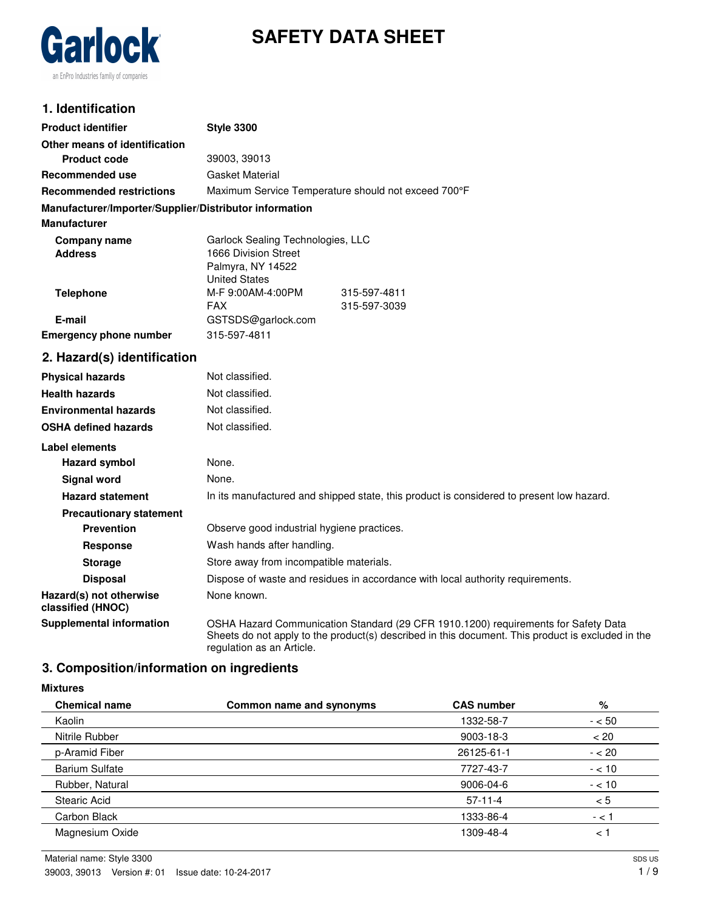

# **SAFETY DATA SHEET**

# **1. Identification**

| <b>Product identifier</b>                              | <b>Style 3300</b>                                                                                                                                                                                                    |  |  |
|--------------------------------------------------------|----------------------------------------------------------------------------------------------------------------------------------------------------------------------------------------------------------------------|--|--|
| Other means of identification                          |                                                                                                                                                                                                                      |  |  |
| <b>Product code</b>                                    | 39003, 39013                                                                                                                                                                                                         |  |  |
| Recommended use                                        | Gasket Material                                                                                                                                                                                                      |  |  |
| <b>Recommended restrictions</b>                        | Maximum Service Temperature should not exceed 700°F                                                                                                                                                                  |  |  |
| Manufacturer/Importer/Supplier/Distributor information |                                                                                                                                                                                                                      |  |  |
| <b>Manufacturer</b>                                    |                                                                                                                                                                                                                      |  |  |
| <b>Company name</b>                                    | Garlock Sealing Technologies, LLC                                                                                                                                                                                    |  |  |
| <b>Address</b>                                         | 1666 Division Street                                                                                                                                                                                                 |  |  |
|                                                        | Palmyra, NY 14522<br><b>United States</b>                                                                                                                                                                            |  |  |
| <b>Telephone</b>                                       | M-F 9:00AM-4:00PM<br>315-597-4811                                                                                                                                                                                    |  |  |
|                                                        | <b>FAX</b><br>315-597-3039                                                                                                                                                                                           |  |  |
| E-mail                                                 | GSTSDS@garlock.com                                                                                                                                                                                                   |  |  |
| <b>Emergency phone number</b>                          | 315-597-4811                                                                                                                                                                                                         |  |  |
| 2. Hazard(s) identification                            |                                                                                                                                                                                                                      |  |  |
| <b>Physical hazards</b>                                | Not classified.                                                                                                                                                                                                      |  |  |
| <b>Health hazards</b>                                  | Not classified.                                                                                                                                                                                                      |  |  |
| <b>Environmental hazards</b>                           | Not classified.                                                                                                                                                                                                      |  |  |
| <b>OSHA defined hazards</b>                            | Not classified.                                                                                                                                                                                                      |  |  |
| Label elements                                         |                                                                                                                                                                                                                      |  |  |
| <b>Hazard symbol</b>                                   | None.                                                                                                                                                                                                                |  |  |
| Signal word                                            | None.                                                                                                                                                                                                                |  |  |
| <b>Hazard statement</b>                                | In its manufactured and shipped state, this product is considered to present low hazard.                                                                                                                             |  |  |
| <b>Precautionary statement</b>                         |                                                                                                                                                                                                                      |  |  |
| <b>Prevention</b>                                      | Observe good industrial hygiene practices.                                                                                                                                                                           |  |  |
| Response                                               | Wash hands after handling.                                                                                                                                                                                           |  |  |
| <b>Storage</b>                                         | Store away from incompatible materials.                                                                                                                                                                              |  |  |
| <b>Disposal</b>                                        | Dispose of waste and residues in accordance with local authority requirements.                                                                                                                                       |  |  |
| Hazard(s) not otherwise<br>classified (HNOC)           | None known.                                                                                                                                                                                                          |  |  |
| <b>Supplemental information</b>                        | OSHA Hazard Communication Standard (29 CFR 1910.1200) requirements for Safety Data<br>Sheets do not apply to the product(s) described in this document. This product is excluded in the<br>regulation as an Article. |  |  |

# **3. Composition/information on ingredients**

#### **Mixtures**

| <b>Chemical name</b>  | Common name and synonyms | <b>CAS number</b> | %        |
|-----------------------|--------------------------|-------------------|----------|
| Kaolin                |                          | 1332-58-7         | $- < 50$ |
| Nitrile Rubber        |                          | $9003 - 18 - 3$   | < 20     |
| p-Aramid Fiber        |                          | 26125-61-1        | $- < 20$ |
| <b>Barium Sulfate</b> |                          | 7727-43-7         | $- < 10$ |
| Rubber, Natural       |                          | 9006-04-6         | $- < 10$ |
| <b>Stearic Acid</b>   |                          | $57-11-4$         | < 5      |
| Carbon Black          |                          | 1333-86-4         | $- < 1$  |
| Magnesium Oxide       |                          | 1309-48-4         | $\lt$ .  |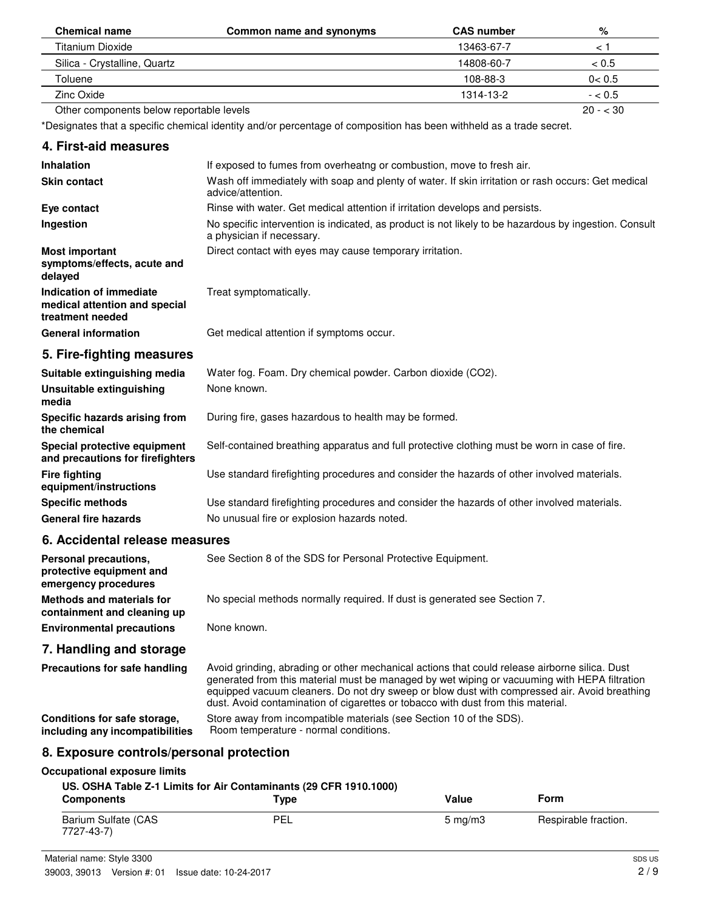| <b>Chemical name</b>                     | Common name and synonyms | <b>CAS number</b> | %         |
|------------------------------------------|--------------------------|-------------------|-----------|
| Titanium Dioxide                         |                          | 13463-67-7        |           |
| Silica - Crystalline, Quartz             |                          | 14808-60-7        | < 0.5     |
| Toluene                                  |                          | 108-88-3          | 0 < 0.5   |
| Zinc Oxide                               |                          | 1314-13-2         | $- < 0.5$ |
| Other components below reportable levels |                          |                   | $20 - 30$ |

\*Designates that a specific chemical identity and/or percentage of composition has been withheld as a trade secret.

# **4. First-aid measures**

| <b>Inhalation</b>                                                            | If exposed to fumes from overheatng or combustion, move to fresh air.                                                              |  |  |  |
|------------------------------------------------------------------------------|------------------------------------------------------------------------------------------------------------------------------------|--|--|--|
| <b>Skin contact</b>                                                          | Wash off immediately with soap and plenty of water. If skin irritation or rash occurs: Get medical<br>advice/attention.            |  |  |  |
| Eye contact                                                                  | Rinse with water. Get medical attention if irritation develops and persists.                                                       |  |  |  |
| Ingestion                                                                    | No specific intervention is indicated, as product is not likely to be hazardous by ingestion. Consult<br>a physician if necessary. |  |  |  |
| <b>Most important</b><br>symptoms/effects, acute and<br>delayed              | Direct contact with eyes may cause temporary irritation.                                                                           |  |  |  |
| Indication of immediate<br>medical attention and special<br>treatment needed | Treat symptomatically.                                                                                                             |  |  |  |
| <b>General information</b>                                                   | Get medical attention if symptoms occur.                                                                                           |  |  |  |
| 5. Fire-fighting measures                                                    |                                                                                                                                    |  |  |  |
| Suitable extinguishing media                                                 | Water fog. Foam. Dry chemical powder. Carbon dioxide (CO2).                                                                        |  |  |  |
| Unsuitable extinguishing<br>media                                            | None known.                                                                                                                        |  |  |  |
| Specific hazards arising from<br>the chemical                                | During fire, gases hazardous to health may be formed.                                                                              |  |  |  |
| Special protective equipment<br>and precautions for firefighters             | Self-contained breathing apparatus and full protective clothing must be worn in case of fire.                                      |  |  |  |
| <b>Fire fighting</b><br>equipment/instructions                               | Use standard firefighting procedures and consider the hazards of other involved materials.                                         |  |  |  |
| <b>Specific methods</b>                                                      | Use standard firefighting procedures and consider the hazards of other involved materials.                                         |  |  |  |
| <b>General fire hazards</b>                                                  | No unusual fire or explosion hazards noted.                                                                                        |  |  |  |
|                                                                              |                                                                                                                                    |  |  |  |

# **6. Accidental release measures**

| Personal precautions,<br>protective equipment and<br>emergency procedures | See Section 8 of the SDS for Personal Protective Equipment.               |
|---------------------------------------------------------------------------|---------------------------------------------------------------------------|
| Methods and materials for<br>containment and cleaning up                  | No special methods normally required. If dust is generated see Section 7. |
| <b>Environmental precautions</b>                                          | None known.                                                               |

# **7. Handling and storage**

| Precautions for safe handling   | Avoid grinding, abrading or other mechanical actions that could release airborne silica. Dust<br>generated from this material must be managed by wet wiping or vacuuming with HEPA filtration<br>equipped vacuum cleaners. Do not dry sweep or blow dust with compressed air. Avoid breathing<br>dust. Avoid contamination of cigarettes or tobacco with dust from this material. |
|---------------------------------|-----------------------------------------------------------------------------------------------------------------------------------------------------------------------------------------------------------------------------------------------------------------------------------------------------------------------------------------------------------------------------------|
| Conditions for safe storage,    | Store away from incompatible materials (see Section 10 of the SDS).                                                                                                                                                                                                                                                                                                               |
| including any incompatibilities | Room temperature - normal conditions.                                                                                                                                                                                                                                                                                                                                             |

# **8. Exposure controls/personal protection**

#### **Occupational exposure limits**

#### **US. OSHA Table Z-1 Limits for Air Contaminants (29 CFR 1910.1000)**

| <b>Components</b>                 | $T$ <sub>VDe</sub> | Value            | Form                 |
|-----------------------------------|--------------------|------------------|----------------------|
| Barium Sulfate (CAS<br>7727-43-7) | D⊏<br>╺┕╸┕╸        | $5 \text{ mg/m}$ | Respirable fraction. |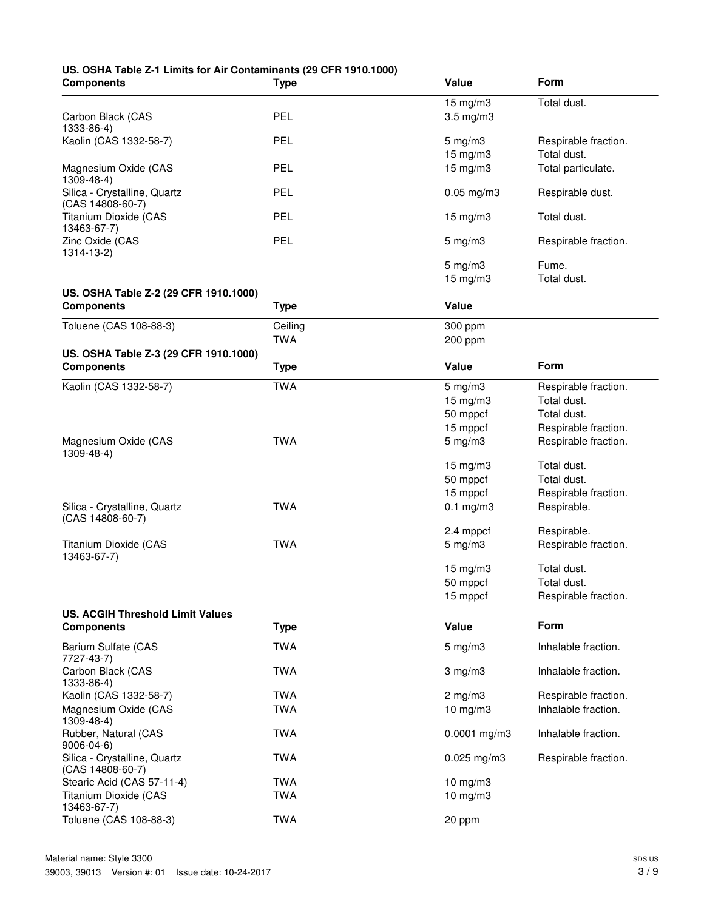# **US. OSHA Table Z-1 Limits for Air Contaminants (29 CFR 1910.1000)**

| <b>Components</b>                       | Type        | Value                          | Form                                |
|-----------------------------------------|-------------|--------------------------------|-------------------------------------|
|                                         |             | 15 mg/m3                       | Total dust.                         |
| Carbon Black (CAS                       | PEL         | $3.5$ mg/m $3$                 |                                     |
| 1333-86-4)                              |             |                                |                                     |
| Kaolin (CAS 1332-58-7)                  | PEL         | $5 \text{ mg/m}$ 3<br>15 mg/m3 | Respirable fraction.<br>Total dust. |
| Magnesium Oxide (CAS                    | PEL         | 15 mg/m3                       | Total particulate.                  |
| 1309-48-4)                              |             |                                |                                     |
| Silica - Crystalline, Quartz            | PEL         | $0.05$ mg/m $3$                | Respirable dust.                    |
| (CAS 14808-60-7)                        |             |                                |                                     |
| Titanium Dioxide (CAS                   | PEL         | $15$ mg/m $3$                  | Total dust.                         |
| 13463-67-7)<br>Zinc Oxide (CAS          | PEL         | $5 \text{ mg/m}$ 3             | Respirable fraction.                |
| 1314-13-2)                              |             |                                |                                     |
|                                         |             | $5 \text{ mg/m}$ 3             | Fume.                               |
|                                         |             | $15 \text{ mg/m}$ 3            | Total dust.                         |
| US. OSHA Table Z-2 (29 CFR 1910.1000)   |             |                                |                                     |
| <b>Components</b>                       | <b>Type</b> | <b>Value</b>                   |                                     |
| Toluene (CAS 108-88-3)                  | Ceiling     | 300 ppm                        |                                     |
|                                         | <b>TWA</b>  | 200 ppm                        |                                     |
| US. OSHA Table Z-3 (29 CFR 1910.1000)   |             |                                |                                     |
| <b>Components</b>                       | <b>Type</b> | <b>Value</b>                   | <b>Form</b>                         |
| Kaolin (CAS 1332-58-7)                  | <b>TWA</b>  | $5 \text{ mg/m}$ 3             | Respirable fraction.                |
|                                         |             | 15 mg/m3                       | Total dust.                         |
|                                         |             | 50 mppcf                       | Total dust.                         |
|                                         |             | 15 mppcf                       | Respirable fraction.                |
| Magnesium Oxide (CAS                    | <b>TWA</b>  | $5$ mg/m $3$                   | Respirable fraction.                |
| $1309 - 48 - 4$ )                       |             |                                |                                     |
|                                         |             | 15 mg/m3                       | Total dust.                         |
|                                         |             | 50 mppcf                       | Total dust.                         |
|                                         |             | 15 mppcf                       | Respirable fraction.                |
| Silica - Crystalline, Quartz            | <b>TWA</b>  | $0.1$ mg/m $3$                 | Respirable.                         |
| $(CAS 14808-60-7)$                      |             |                                |                                     |
|                                         |             | 2.4 mppcf                      | Respirable.                         |
| Titanium Dioxide (CAS<br>13463-67-7)    | <b>TWA</b>  | $5 \text{ mg/m}$ 3             | Respirable fraction.                |
|                                         |             | 15 mg/m3                       | Total dust.                         |
|                                         |             | 50 mppcf                       | Total dust.                         |
|                                         |             | 15 mppcf                       | Respirable fraction.                |
| <b>US. ACGIH Threshold Limit Values</b> |             |                                |                                     |
| <b>Components</b>                       | <b>Type</b> | Value                          | Form                                |
| Barium Sulfate (CAS                     | <b>TWA</b>  | $5 \text{ mg/m}$ 3             | Inhalable fraction.                 |
| 7727-43-7)<br>Carbon Black (CAS         | <b>TWA</b>  | $3$ mg/m $3$                   | Inhalable fraction.                 |
| 1333-86-4)                              |             |                                |                                     |
| Kaolin (CAS 1332-58-7)                  | <b>TWA</b>  | $2$ mg/m $3$                   | Respirable fraction.                |
| Magnesium Oxide (CAS                    | <b>TWA</b>  | $10$ mg/m $3$                  | Inhalable fraction.                 |
| $1309 - 48 - 4$                         |             |                                |                                     |
| Rubber, Natural (CAS<br>9006-04-6)      | <b>TWA</b>  | $0.0001$ mg/m3                 | Inhalable fraction.                 |
| Silica - Crystalline, Quartz            | <b>TWA</b>  | $0.025$ mg/m3                  | Respirable fraction.                |
| (CAS 14808-60-7)                        |             |                                |                                     |
| Stearic Acid (CAS 57-11-4)              | <b>TWA</b>  | 10 mg/m3                       |                                     |
| <b>Titanium Dioxide (CAS</b>            | <b>TWA</b>  | 10 mg/m3                       |                                     |
| 13463-67-7)                             |             |                                |                                     |
| Toluene (CAS 108-88-3)                  | <b>TWA</b>  | 20 ppm                         |                                     |
|                                         |             |                                |                                     |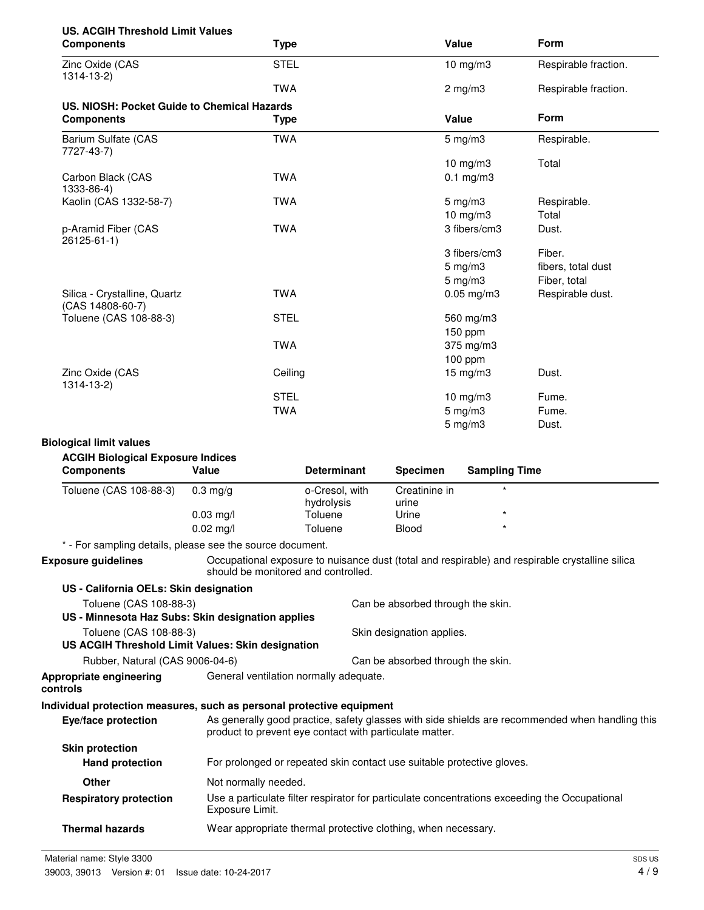| <b>US. ACGIH Threshold Limit Values</b><br><b>Components</b>                |                                                         | <b>Type</b> |                       |                           | Value                                                                  | Form                                                                                            |
|-----------------------------------------------------------------------------|---------------------------------------------------------|-------------|-----------------------|---------------------------|------------------------------------------------------------------------|-------------------------------------------------------------------------------------------------|
| Zinc Oxide (CAS<br>1314-13-2)                                               |                                                         | <b>STEL</b> |                       |                           | $10$ mg/m $3$                                                          | Respirable fraction.                                                                            |
|                                                                             |                                                         | <b>TWA</b>  |                       |                           | $2 \text{ mg/m}$                                                       | Respirable fraction.                                                                            |
| US. NIOSH: Pocket Guide to Chemical Hazards<br><b>Components</b>            |                                                         | <b>Type</b> |                       |                           | Value                                                                  | Form                                                                                            |
| Barium Sulfate (CAS                                                         |                                                         | <b>TWA</b>  |                       |                           | $5 \text{ mg/m}$ 3                                                     | Respirable.                                                                                     |
| 7727-43-7)                                                                  |                                                         |             |                       |                           | $10$ mg/m $3$                                                          | Total                                                                                           |
| Carbon Black (CAS<br>1333-86-4)                                             |                                                         | <b>TWA</b>  |                       |                           | $0.1$ mg/m $3$                                                         |                                                                                                 |
| Kaolin (CAS 1332-58-7)                                                      |                                                         | <b>TWA</b>  |                       |                           | $5$ mg/m $3$                                                           | Respirable.                                                                                     |
|                                                                             |                                                         |             |                       |                           | 10 mg/m3                                                               | Total                                                                                           |
| p-Aramid Fiber (CAS<br>26125-61-1)                                          |                                                         | <b>TWA</b>  |                       |                           | 3 fibers/cm3                                                           | Dust.                                                                                           |
|                                                                             |                                                         |             |                       |                           | 3 fibers/cm3                                                           | Fiber.                                                                                          |
|                                                                             |                                                         |             |                       |                           | $5$ mg/m $3$                                                           | fibers, total dust                                                                              |
|                                                                             |                                                         |             |                       |                           | $5 \text{ mg/m}$ 3                                                     | Fiber, total                                                                                    |
| Silica - Crystalline, Quartz<br>(CAS 14808-60-7)                            |                                                         | <b>TWA</b>  |                       |                           | $0.05$ mg/m $3$                                                        | Respirable dust.                                                                                |
| Toluene (CAS 108-88-3)                                                      |                                                         | <b>STEL</b> |                       |                           | 560 mg/m3                                                              |                                                                                                 |
|                                                                             |                                                         |             |                       |                           | 150 ppm                                                                |                                                                                                 |
|                                                                             |                                                         | <b>TWA</b>  |                       |                           | 375 mg/m3                                                              |                                                                                                 |
|                                                                             |                                                         |             |                       |                           | 100 ppm                                                                |                                                                                                 |
| Zinc Oxide (CAS<br>1314-13-2)                                               |                                                         | Ceiling     |                       |                           | 15 mg/m3                                                               | Dust.                                                                                           |
|                                                                             |                                                         | <b>STEL</b> |                       |                           | $10$ mg/m $3$                                                          | Fume.                                                                                           |
|                                                                             |                                                         | <b>TWA</b>  |                       |                           | $5 \text{ mg/m}$ 3                                                     | Fume.                                                                                           |
|                                                                             |                                                         |             |                       |                           | $5$ mg/m $3$                                                           | Dust.                                                                                           |
| <b>Biological limit values</b>                                              |                                                         |             |                       |                           |                                                                        |                                                                                                 |
| <b>ACGIH Biological Exposure Indices</b>                                    |                                                         |             |                       |                           |                                                                        |                                                                                                 |
| <b>Components</b>                                                           | Value                                                   |             | <b>Determinant</b>    | <b>Specimen</b>           | <b>Sampling Time</b>                                                   |                                                                                                 |
| Toluene (CAS 108-88-3)                                                      | $0.3 \text{ mg/g}$                                      |             | o-Cresol, with        | Creatinine in             | $\star$                                                                |                                                                                                 |
|                                                                             | $0.03$ mg/l                                             |             | hydrolysis<br>Toluene | urine<br>Urine            |                                                                        |                                                                                                 |
|                                                                             | $0.02 \text{ ma/l}$                                     |             | Toluene               | <b>Blood</b>              | $\star$                                                                |                                                                                                 |
| * - For sampling details, please see the source document.                   |                                                         |             |                       |                           |                                                                        |                                                                                                 |
| <b>Exposure guidelines</b>                                                  | should be monitored and controlled.                     |             |                       |                           |                                                                        | Occupational exposure to nuisance dust (total and respirable) and respirable crystalline silica |
| US - California OELs: Skin designation                                      |                                                         |             |                       |                           |                                                                        |                                                                                                 |
| Toluene (CAS 108-88-3)<br>US - Minnesota Haz Subs: Skin designation applies |                                                         |             |                       |                           | Can be absorbed through the skin.                                      |                                                                                                 |
| Toluene (CAS 108-88-3)<br>US ACGIH Threshold Limit Values: Skin designation |                                                         |             |                       | Skin designation applies. |                                                                        |                                                                                                 |
| Rubber, Natural (CAS 9006-04-6)                                             |                                                         |             |                       |                           | Can be absorbed through the skin.                                      |                                                                                                 |
| Appropriate engineering<br>controls                                         | General ventilation normally adequate.                  |             |                       |                           |                                                                        |                                                                                                 |
| Individual protection measures, such as personal protective equipment       |                                                         |             |                       |                           |                                                                        |                                                                                                 |
| Eye/face protection                                                         | product to prevent eye contact with particulate matter. |             |                       |                           |                                                                        | As generally good practice, safety glasses with side shields are recommended when handling this |
| <b>Skin protection</b><br><b>Hand protection</b>                            |                                                         |             |                       |                           | For prolonged or repeated skin contact use suitable protective gloves. |                                                                                                 |
| Other                                                                       | Not normally needed.                                    |             |                       |                           |                                                                        |                                                                                                 |
| <b>Respiratory protection</b>                                               |                                                         |             |                       |                           |                                                                        | Use a particulate filter respirator for particulate concentrations exceeding the Occupational   |
|                                                                             | Exposure Limit.                                         |             |                       |                           |                                                                        |                                                                                                 |

Material name: Style 3300 39003, 39013 Version #: 01 Issue date: 10-24-2017

**Thermal hazards** Wear appropriate thermal protective clothing, when necessary.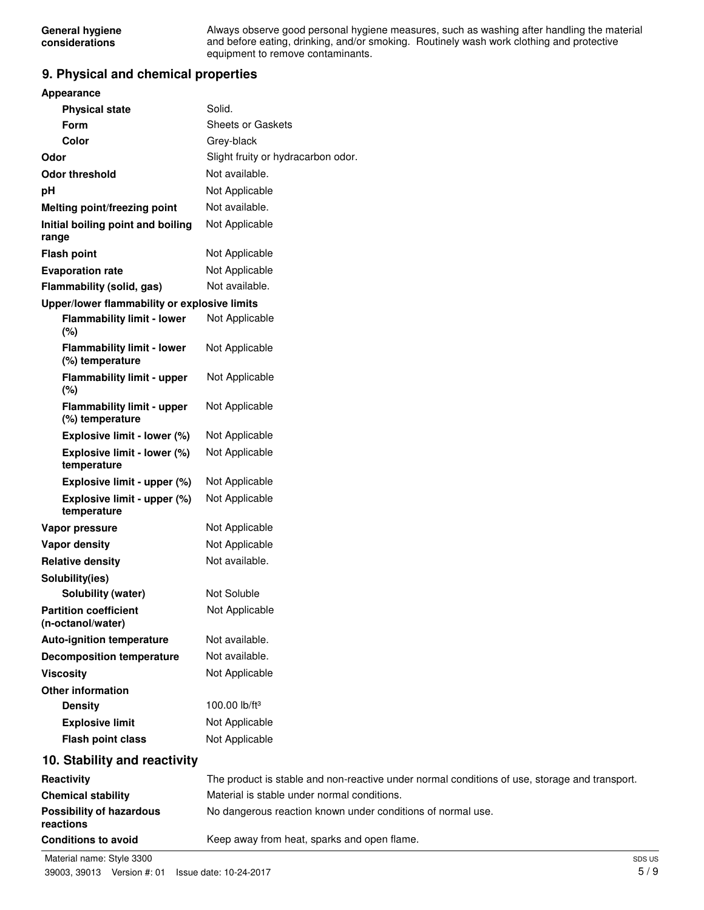Always observe good personal hygiene measures, such as washing after handling the material and before eating, drinking, and/or smoking. Routinely wash work clothing and protective equipment to remove contaminants.

# **9. Physical and chemical properties**

| <b>Appearance</b>                                    |                                                                                               |
|------------------------------------------------------|-----------------------------------------------------------------------------------------------|
| <b>Physical state</b>                                | Solid.                                                                                        |
| <b>Form</b>                                          | <b>Sheets or Gaskets</b>                                                                      |
| Color                                                | Grey-black                                                                                    |
| Odor                                                 | Slight fruity or hydracarbon odor.                                                            |
| <b>Odor threshold</b>                                | Not available.                                                                                |
| pH                                                   | Not Applicable                                                                                |
| Melting point/freezing point                         | Not available.                                                                                |
| Initial boiling point and boiling<br>range           | Not Applicable                                                                                |
| <b>Flash point</b>                                   | Not Applicable                                                                                |
| <b>Evaporation rate</b>                              | Not Applicable                                                                                |
| Flammability (solid, gas)                            | Not available.                                                                                |
| Upper/lower flammability or explosive limits         |                                                                                               |
| <b>Flammability limit - lower</b><br>(%)             | Not Applicable                                                                                |
| <b>Flammability limit - lower</b><br>(%) temperature | Not Applicable                                                                                |
| <b>Flammability limit - upper</b><br>(%)             | Not Applicable                                                                                |
| <b>Flammability limit - upper</b><br>(%) temperature | Not Applicable                                                                                |
| Explosive limit - lower (%)                          | Not Applicable                                                                                |
| Explosive limit - lower (%)<br>temperature           | Not Applicable                                                                                |
| Explosive limit - upper (%)                          | Not Applicable                                                                                |
| Explosive limit - upper (%)<br>temperature           | Not Applicable                                                                                |
| Vapor pressure                                       | Not Applicable                                                                                |
| <b>Vapor density</b>                                 | Not Applicable                                                                                |
| <b>Relative density</b>                              | Not available.                                                                                |
| Solubility(ies)                                      |                                                                                               |
| <b>Solubility (water)</b>                            | Not Soluble                                                                                   |
| <b>Partition coefficient</b><br>(n-octanol/water)    | Not Applicable                                                                                |
| <b>Auto-ignition temperature</b>                     | Not available.                                                                                |
| <b>Decomposition temperature</b>                     | Not available.                                                                                |
| <b>Viscosity</b>                                     | Not Applicable                                                                                |
| <b>Other information</b>                             |                                                                                               |
| <b>Density</b>                                       | 100.00 lb/ft <sup>3</sup>                                                                     |
| <b>Explosive limit</b>                               | Not Applicable                                                                                |
| <b>Flash point class</b>                             | Not Applicable                                                                                |
| 10. Stability and reactivity                         |                                                                                               |
| Reactivity                                           | The product is stable and non-reactive under normal conditions of use, storage and transport. |
| <b>Chemical stability</b>                            | Material is stable under normal conditions.                                                   |
| <b>Possibility of hazardous</b><br>reactions         | No dangerous reaction known under conditions of normal use.                                   |

**Conditions to avoid** Keep away from heat, sparks and open flame.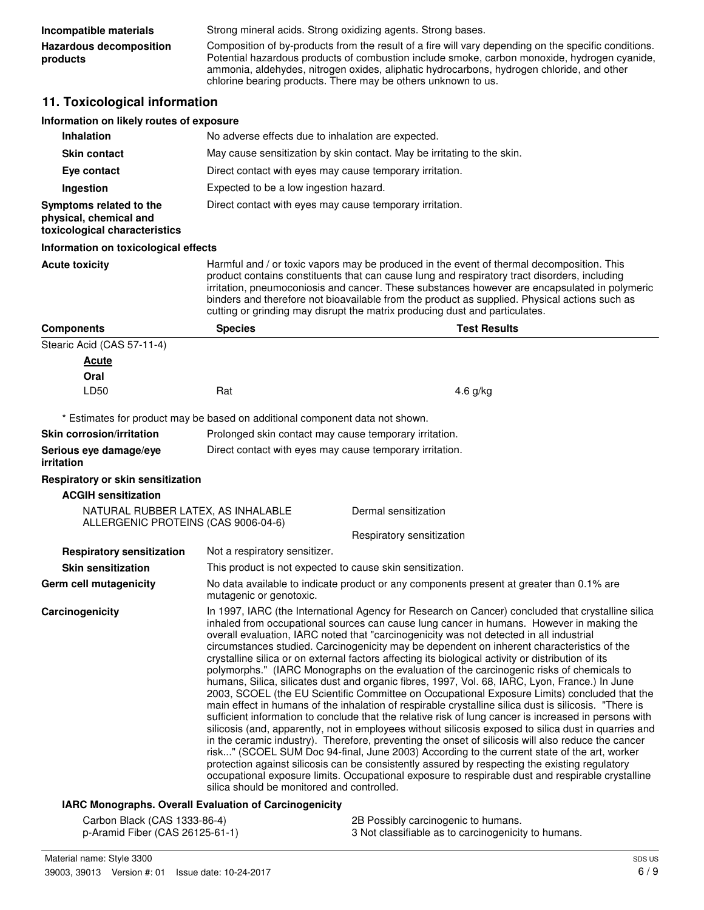| Incompatible materials              | Strong mineral acids. Strong oxidizing agents. Strong bases.                                                                                                                                                                                                                                                                                                       |
|-------------------------------------|--------------------------------------------------------------------------------------------------------------------------------------------------------------------------------------------------------------------------------------------------------------------------------------------------------------------------------------------------------------------|
| Hazardous decomposition<br>products | Composition of by-products from the result of a fire will vary depending on the specific conditions.<br>Potential hazardous products of combustion include smoke, carbon monoxide, hydrogen cyanide,<br>ammonia, aldehydes, nitrogen oxides, aliphatic hydrocarbons, hydrogen chloride, and other<br>chlorine bearing products. There may be others unknown to us. |

# **11. Toxicological information**

| Information on likely routes of exposure                                                                  |                                                                                                                                                                                                                                                                                                                                                                                                                                                                                                                                                                                                                                                                                                                                                                                                                                                                                                                                                                                                                                                                                                                                                                                                                                                                                                                                                                                                                                                                                                                                                                                  |                                                                                          |  |  |
|-----------------------------------------------------------------------------------------------------------|----------------------------------------------------------------------------------------------------------------------------------------------------------------------------------------------------------------------------------------------------------------------------------------------------------------------------------------------------------------------------------------------------------------------------------------------------------------------------------------------------------------------------------------------------------------------------------------------------------------------------------------------------------------------------------------------------------------------------------------------------------------------------------------------------------------------------------------------------------------------------------------------------------------------------------------------------------------------------------------------------------------------------------------------------------------------------------------------------------------------------------------------------------------------------------------------------------------------------------------------------------------------------------------------------------------------------------------------------------------------------------------------------------------------------------------------------------------------------------------------------------------------------------------------------------------------------------|------------------------------------------------------------------------------------------|--|--|
| <b>Inhalation</b>                                                                                         | No adverse effects due to inhalation are expected.                                                                                                                                                                                                                                                                                                                                                                                                                                                                                                                                                                                                                                                                                                                                                                                                                                                                                                                                                                                                                                                                                                                                                                                                                                                                                                                                                                                                                                                                                                                               |                                                                                          |  |  |
| <b>Skin contact</b>                                                                                       | May cause sensitization by skin contact. May be irritating to the skin.                                                                                                                                                                                                                                                                                                                                                                                                                                                                                                                                                                                                                                                                                                                                                                                                                                                                                                                                                                                                                                                                                                                                                                                                                                                                                                                                                                                                                                                                                                          |                                                                                          |  |  |
| Eye contact                                                                                               | Direct contact with eyes may cause temporary irritation.                                                                                                                                                                                                                                                                                                                                                                                                                                                                                                                                                                                                                                                                                                                                                                                                                                                                                                                                                                                                                                                                                                                                                                                                                                                                                                                                                                                                                                                                                                                         |                                                                                          |  |  |
| Ingestion                                                                                                 |                                                                                                                                                                                                                                                                                                                                                                                                                                                                                                                                                                                                                                                                                                                                                                                                                                                                                                                                                                                                                                                                                                                                                                                                                                                                                                                                                                                                                                                                                                                                                                                  | Expected to be a low ingestion hazard.                                                   |  |  |
| Symptoms related to the<br>physical, chemical and<br>toxicological characteristics                        |                                                                                                                                                                                                                                                                                                                                                                                                                                                                                                                                                                                                                                                                                                                                                                                                                                                                                                                                                                                                                                                                                                                                                                                                                                                                                                                                                                                                                                                                                                                                                                                  | Direct contact with eyes may cause temporary irritation.                                 |  |  |
| Information on toxicological effects                                                                      |                                                                                                                                                                                                                                                                                                                                                                                                                                                                                                                                                                                                                                                                                                                                                                                                                                                                                                                                                                                                                                                                                                                                                                                                                                                                                                                                                                                                                                                                                                                                                                                  |                                                                                          |  |  |
| <b>Acute toxicity</b>                                                                                     | Harmful and / or toxic vapors may be produced in the event of thermal decomposition. This<br>product contains constituents that can cause lung and respiratory tract disorders, including<br>irritation, pneumoconiosis and cancer. These substances however are encapsulated in polymeric<br>binders and therefore not bioavailable from the product as supplied. Physical actions such as<br>cutting or grinding may disrupt the matrix producing dust and particulates.                                                                                                                                                                                                                                                                                                                                                                                                                                                                                                                                                                                                                                                                                                                                                                                                                                                                                                                                                                                                                                                                                                       |                                                                                          |  |  |
| <b>Components</b>                                                                                         | <b>Species</b>                                                                                                                                                                                                                                                                                                                                                                                                                                                                                                                                                                                                                                                                                                                                                                                                                                                                                                                                                                                                                                                                                                                                                                                                                                                                                                                                                                                                                                                                                                                                                                   | <b>Test Results</b>                                                                      |  |  |
| Stearic Acid (CAS 57-11-4)<br><b>Acute</b><br>Oral<br>LD50                                                | Rat                                                                                                                                                                                                                                                                                                                                                                                                                                                                                                                                                                                                                                                                                                                                                                                                                                                                                                                                                                                                                                                                                                                                                                                                                                                                                                                                                                                                                                                                                                                                                                              | 4.6 g/kg                                                                                 |  |  |
|                                                                                                           |                                                                                                                                                                                                                                                                                                                                                                                                                                                                                                                                                                                                                                                                                                                                                                                                                                                                                                                                                                                                                                                                                                                                                                                                                                                                                                                                                                                                                                                                                                                                                                                  |                                                                                          |  |  |
| * Estimates for product may be based on additional component data not shown.<br>Skin corrosion/irritation |                                                                                                                                                                                                                                                                                                                                                                                                                                                                                                                                                                                                                                                                                                                                                                                                                                                                                                                                                                                                                                                                                                                                                                                                                                                                                                                                                                                                                                                                                                                                                                                  | Prolonged skin contact may cause temporary irritation.                                   |  |  |
| Serious eye damage/eye<br><i>irritation</i>                                                               |                                                                                                                                                                                                                                                                                                                                                                                                                                                                                                                                                                                                                                                                                                                                                                                                                                                                                                                                                                                                                                                                                                                                                                                                                                                                                                                                                                                                                                                                                                                                                                                  | Direct contact with eyes may cause temporary irritation.                                 |  |  |
| Respiratory or skin sensitization                                                                         |                                                                                                                                                                                                                                                                                                                                                                                                                                                                                                                                                                                                                                                                                                                                                                                                                                                                                                                                                                                                                                                                                                                                                                                                                                                                                                                                                                                                                                                                                                                                                                                  |                                                                                          |  |  |
| <b>ACGIH sensitization</b>                                                                                |                                                                                                                                                                                                                                                                                                                                                                                                                                                                                                                                                                                                                                                                                                                                                                                                                                                                                                                                                                                                                                                                                                                                                                                                                                                                                                                                                                                                                                                                                                                                                                                  |                                                                                          |  |  |
| NATURAL RUBBER LATEX, AS INHALABLE<br>ALLERGENIC PROTEINS (CAS 9006-04-6)                                 |                                                                                                                                                                                                                                                                                                                                                                                                                                                                                                                                                                                                                                                                                                                                                                                                                                                                                                                                                                                                                                                                                                                                                                                                                                                                                                                                                                                                                                                                                                                                                                                  | Dermal sensitization                                                                     |  |  |
|                                                                                                           |                                                                                                                                                                                                                                                                                                                                                                                                                                                                                                                                                                                                                                                                                                                                                                                                                                                                                                                                                                                                                                                                                                                                                                                                                                                                                                                                                                                                                                                                                                                                                                                  | Respiratory sensitization                                                                |  |  |
| <b>Respiratory sensitization</b>                                                                          | Not a respiratory sensitizer.                                                                                                                                                                                                                                                                                                                                                                                                                                                                                                                                                                                                                                                                                                                                                                                                                                                                                                                                                                                                                                                                                                                                                                                                                                                                                                                                                                                                                                                                                                                                                    |                                                                                          |  |  |
| <b>Skin sensitization</b>                                                                                 |                                                                                                                                                                                                                                                                                                                                                                                                                                                                                                                                                                                                                                                                                                                                                                                                                                                                                                                                                                                                                                                                                                                                                                                                                                                                                                                                                                                                                                                                                                                                                                                  | This product is not expected to cause skin sensitization.                                |  |  |
| Germ cell mutagenicity                                                                                    | mutagenic or genotoxic.                                                                                                                                                                                                                                                                                                                                                                                                                                                                                                                                                                                                                                                                                                                                                                                                                                                                                                                                                                                                                                                                                                                                                                                                                                                                                                                                                                                                                                                                                                                                                          | No data available to indicate product or any components present at greater than 0.1% are |  |  |
| Carcinogenicity                                                                                           | In 1997, IARC (the International Agency for Research on Cancer) concluded that crystalline silica<br>inhaled from occupational sources can cause lung cancer in humans. However in making the<br>overall evaluation, IARC noted that "carcinogenicity was not detected in all industrial<br>circumstances studied. Carcinogenicity may be dependent on inherent characteristics of the<br>crystalline silica or on external factors affecting its biological activity or distribution of its<br>polymorphs." (IARC Monographs on the evaluation of the carcinogenic risks of chemicals to<br>humans, Silica, silicates dust and organic fibres, 1997, Vol. 68, IARC, Lyon, France.) In June<br>2003, SCOEL (the EU Scientific Committee on Occupational Exposure Limits) concluded that the<br>main effect in humans of the inhalation of respirable crystalline silica dust is silicosis. "There is<br>sufficient information to conclude that the relative risk of lung cancer is increased in persons with<br>silicosis (and, apparently, not in employees without silicosis exposed to silica dust in quarries and<br>in the ceramic industry). Therefore, preventing the onset of silicosis will also reduce the cancer<br>risk" (SCOEL SUM Doc 94-final, June 2003) According to the current state of the art, worker<br>protection against silicosis can be consistently assured by respecting the existing regulatory<br>occupational exposure limits. Occupational exposure to respirable dust and respirable crystalline<br>silica should be monitored and controlled. |                                                                                          |  |  |
| IARC Monographs. Overall Evaluation of Carcinogenicity                                                    |                                                                                                                                                                                                                                                                                                                                                                                                                                                                                                                                                                                                                                                                                                                                                                                                                                                                                                                                                                                                                                                                                                                                                                                                                                                                                                                                                                                                                                                                                                                                                                                  |                                                                                          |  |  |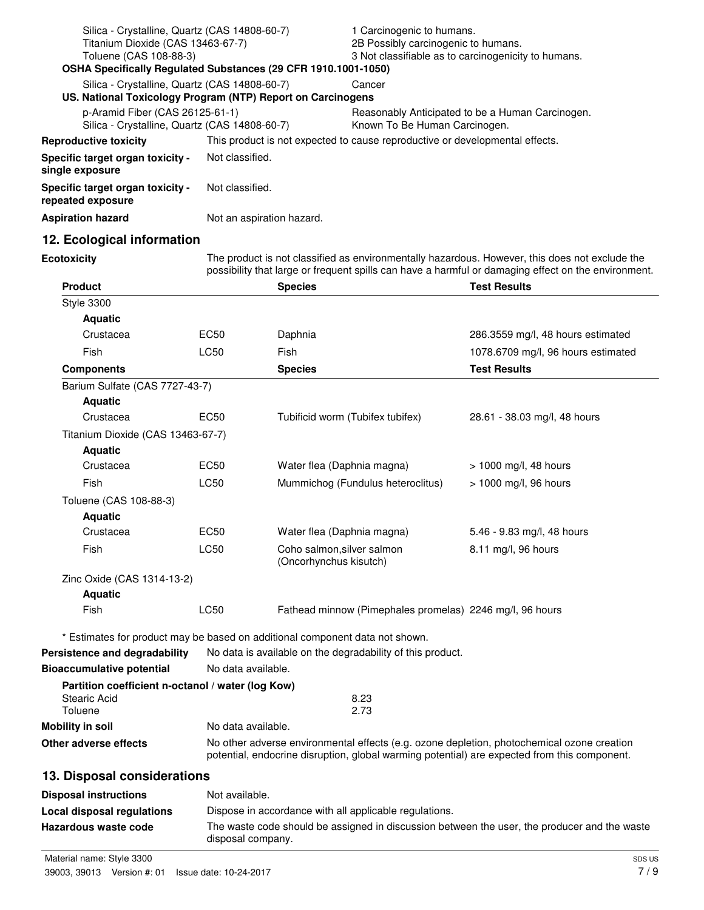| Silica - Crystalline, Quartz (CAS 14808-60-7)<br>Titanium Dioxide (CAS 13463-67-7)<br>Toluene (CAS 108-88-3)<br>OSHA Specifically Regulated Substances (29 CFR 1910.1001-1050) |                           | 1 Carcinogenic to humans.<br>2B Possibly carcinogenic to humans.<br>3 Not classifiable as to carcinogenicity to humans. |
|--------------------------------------------------------------------------------------------------------------------------------------------------------------------------------|---------------------------|-------------------------------------------------------------------------------------------------------------------------|
| Silica - Crystalline, Quartz (CAS 14808-60-7)<br>US. National Toxicology Program (NTP) Report on Carcinogens                                                                   |                           | Cancer                                                                                                                  |
| p-Aramid Fiber (CAS 26125-61-1)<br>Silica - Crystalline, Quartz (CAS 14808-60-7)                                                                                               |                           | Reasonably Anticipated to be a Human Carcinogen.<br>Known To Be Human Carcinogen.                                       |
| <b>Reproductive toxicity</b>                                                                                                                                                   |                           | This product is not expected to cause reproductive or developmental effects.                                            |
| Specific target organ toxicity -<br>single exposure                                                                                                                            | Not classified.           |                                                                                                                         |
| <b>Specific target organ toxicity -</b><br>repeated exposure                                                                                                                   | Not classified.           |                                                                                                                         |
| Aspiration hazard                                                                                                                                                              | Not an aspiration hazard. |                                                                                                                         |
|                                                                                                                                                                                |                           |                                                                                                                         |

# **12. Ecological information**

**Ecotoxicity**

The product is not classified as environmentally hazardous. However, this does not exclude the possibility that large or frequent spills can have a harmful or damaging effect on the environment.

| <b>Product</b>                                    |                    | <b>Species</b>                                                                               | <b>Test Results</b>                |
|---------------------------------------------------|--------------------|----------------------------------------------------------------------------------------------|------------------------------------|
| <b>Style 3300</b>                                 |                    |                                                                                              |                                    |
| <b>Aquatic</b>                                    |                    |                                                                                              |                                    |
| Crustacea                                         | EC50               | Daphnia                                                                                      | 286.3559 mg/l, 48 hours estimated  |
| Fish                                              | <b>LC50</b>        | Fish                                                                                         | 1078.6709 mg/l, 96 hours estimated |
| <b>Components</b>                                 |                    | <b>Species</b>                                                                               | <b>Test Results</b>                |
| Barium Sulfate (CAS 7727-43-7)                    |                    |                                                                                              |                                    |
| <b>Aquatic</b>                                    |                    |                                                                                              |                                    |
| Crustacea                                         | EC50               | Tubificid worm (Tubifex tubifex)                                                             | 28.61 - 38.03 mg/l, 48 hours       |
| Titanium Dioxide (CAS 13463-67-7)                 |                    |                                                                                              |                                    |
| <b>Aquatic</b>                                    |                    |                                                                                              |                                    |
| Crustacea                                         | <b>EC50</b>        | Water flea (Daphnia magna)                                                                   | $> 1000$ mg/l, 48 hours            |
| Fish                                              | <b>LC50</b>        | Mummichog (Fundulus heteroclitus)                                                            | > 1000 mg/l, 96 hours              |
| Toluene (CAS 108-88-3)                            |                    |                                                                                              |                                    |
| <b>Aquatic</b>                                    |                    |                                                                                              |                                    |
| Crustacea                                         | EC50               | Water flea (Daphnia magna)                                                                   | 5.46 - 9.83 mg/l, 48 hours         |
| Fish                                              | <b>LC50</b>        | Coho salmon, silver salmon<br>(Oncorhynchus kisutch)                                         | 8.11 mg/l, 96 hours                |
| Zinc Oxide (CAS 1314-13-2)                        |                    |                                                                                              |                                    |
| <b>Aquatic</b>                                    |                    |                                                                                              |                                    |
| Fish                                              | <b>LC50</b>        | Fathead minnow (Pimephales promelas) 2246 mg/l, 96 hours                                     |                                    |
|                                                   |                    | * Estimates for product may be based on additional component data not shown.                 |                                    |
| Persistence and degradability                     |                    | No data is available on the degradability of this product.                                   |                                    |
| <b>Bioaccumulative potential</b>                  | No data available. |                                                                                              |                                    |
| Partition coefficient n-octanol / water (log Kow) |                    |                                                                                              |                                    |
| <b>Stearic Acid</b><br>Toluene                    |                    | 8.23<br>2.73                                                                                 |                                    |
| <b>Mobility in soil</b>                           | No data available. |                                                                                              |                                    |
| Other adverse effects                             |                    | No other adverse environmental effects (e.g. ozone depletion, photochemical ozone creation   |                                    |
|                                                   |                    | potential, endocrine disruption, global warming potential) are expected from this component. |                                    |
| 13. Disposal considerations                       |                    |                                                                                              |                                    |
| <b>Disposal instructions</b>                      | Not available.     |                                                                                              |                                    |
| Local disposal regulations                        |                    | Dispose in accordance with all applicable regulations.                                       |                                    |
| Hazardous waste code                              |                    | The waste code should be assigned in discussion between the user, the producer and the waste |                                    |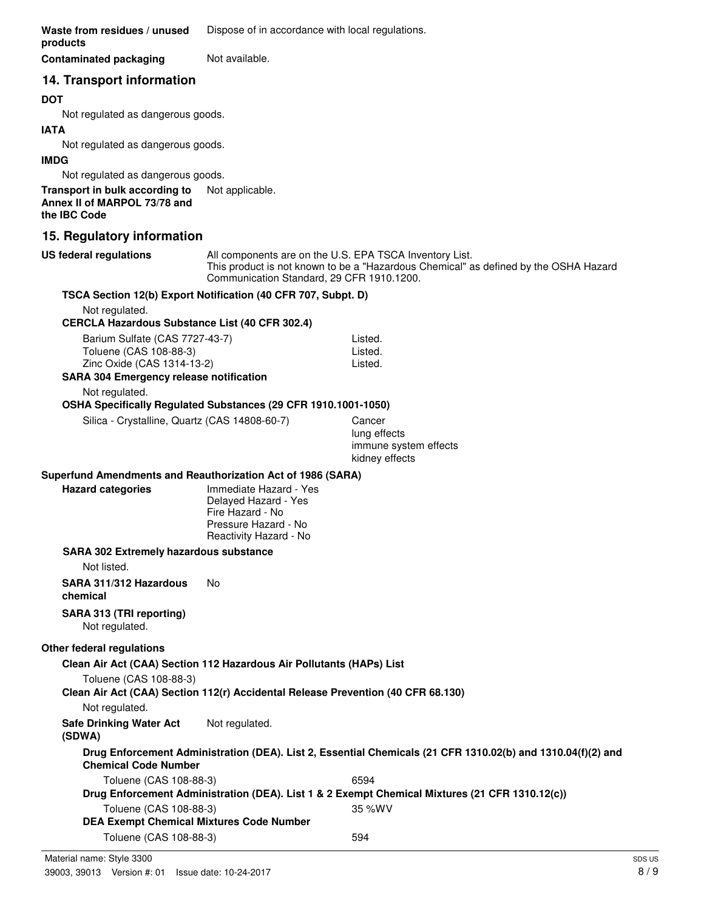**Waste from residues / unused** Dispose of in accordance with local regulations. **products**

**Contaminated packaging Mot available.** 

# **14. Transport information**

#### **DOT**

Not regulated as dangerous goods.

#### **IATA**

Not regulated as dangerous goods.

#### **IMDG**

Not regulated as dangerous goods.

**Transport in bulk according to** Not applicable. **Annex II of MARPOL 73/78 and the IBC Code**

# **15. Regulatory information**

**US federal regulations**

All components are on the U.S. EPA TSCA Inventory List. This product is not known to be a "Hazardous Chemical" as defined by the OSHA Hazard Communication Standard, 29 CFR 1910.1200.

# **TSCA Section 12(b) Export Notification (40 CFR 707, Subpt. D)**

Not regulated.

#### **CERCLA Hazardous Substance List (40 CFR 302.4)**

| Barium Sulfate (CAS 7727-43-7)                 | Listed. |
|------------------------------------------------|---------|
| Toluene (CAS 108-88-3)                         | Listed. |
| Zinc Oxide (CAS 1314-13-2)                     | Listed. |
| <b>SARA 304 Emergency release notification</b> |         |

Not regulated.

#### **OSHA Specifically Regulated Substances (29 CFR 1910.1001-1050)**

Silica - Crystalline, Quartz (CAS 14808-60-7) Cancer

lung effects immune system effects kidney effects

# **Superfund Amendments and Reauthorization Act of 1986 (SARA)**

| <b>Hazard categories</b> | Imm  |
|--------------------------|------|
|                          | Dela |
|                          | Fire |
|                          |      |

**Iediate Hazard - Yes** ayed Hazard - Yes Hazard - No Pressure Hazard - No Reactivity Hazard - No

#### **SARA 302 Extremely hazardous substance**

Not listed.

#### **SARA 311/312 Hazardous** No **chemical**

**SARA 313 (TRI reporting)**

Not regulated.

# **Other federal regulations**

**Clean Air Act (CAA) Section 112 Hazardous Air Pollutants (HAPs) List**

Toluene (CAS 108-88-3)

**Clean Air Act (CAA) Section 112(r) Accidental Release Prevention (40 CFR 68.130)**

Not regulated.

**Safe Drinking Water Act** Not regulated.

**(SDWA)**

**Drug Enforcement Administration (DEA). List 2, Essential Chemicals (21 CFR 1310.02(b) and 1310.04(f)(2) and Chemical Code Number** Toluene (CAS 108-88-3) 6594

| <b>POIDO TONO TOO OO OT</b>                                                                    | . <i>.</i> . <i>. .</i> – |
|------------------------------------------------------------------------------------------------|---------------------------|
| Drug Enforcement Administration (DEA). List 1 & 2 Exempt Chemical Mixtures (21 CFR 1310.12(c)) |                           |
| Toluene (CAS 108-88-3)                                                                         | 35 %WV                    |
| DEA Exempt Chemical Mixtures Code Number                                                       |                           |
| Toluene (CAS 108-88-3)                                                                         | 594                       |